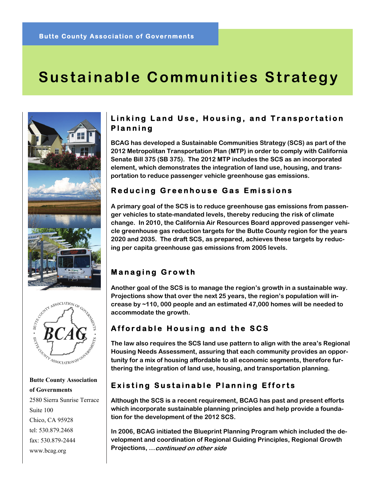# **Sustainable Communities Strategy**





 **Butte County Association of Governments** 2580 Sierra Sunrise Terrace Suite 100 Chico, CA 95928 tel: 530.879.2468 fax: 530.879-2444 www.bcag.org

### **Linking Land Use, Housing, and Transportation Planning**

**BCAG has developed a Sustainable Communities Strategy (SCS) as part of the 2012 Metropolitan Transportation Plan (MTP) in order to comply with California Senate Bill 375 (SB 375). The 2012 MTP includes the SCS as an incorporated element, which demonstrates the integration of land use, housing, and transportation to reduce passenger vehicle greenhouse gas emissions.** 

### **Reducing Greenhouse Gas Emissions**

**A primary goal of the SCS is to reduce greenhouse gas emissions from passenger vehicles to state-mandated levels, thereby reducing the risk of climate change. In 2010, the California Air Resources Board approved passenger vehicle greenhouse gas reduction targets for the Butte County region for the years 2020 and 2035. The draft SCS, as prepared, achieves these targets by reducing per capita greenhouse gas emissions from 2005 levels.** 

### **Managing Growth**

**Another goal of the SCS is to manage the region's growth in a sustainable way. Projections show that over the next 25 years, the region's population will increase by ~110, 000 people and an estimated 47,000 homes will be needed to accommodate the growth.** 

# **Affordable Housing and the SCS**

**The law also requires the SCS land use pattern to align with the area's Regional Housing Needs Assessment, assuring that each community provides an opportunity for a mix of housing affordable to all economic segments, therefore furthering the integration of land use, housing, and transportation planning.** 

# **Existing Sustainable Planning Efforts**

**Although the SCS is a recent requirement, BCAG has past and present efforts which incorporate sustainable planning principles and help provide a foundation for the development of the 2012 SCS.** 

**In 2006, BCAG initiated the Blueprint Planning Program which included the development and coordination of Regional Guiding Principles, Regional Growth Projections, …continued on other side**